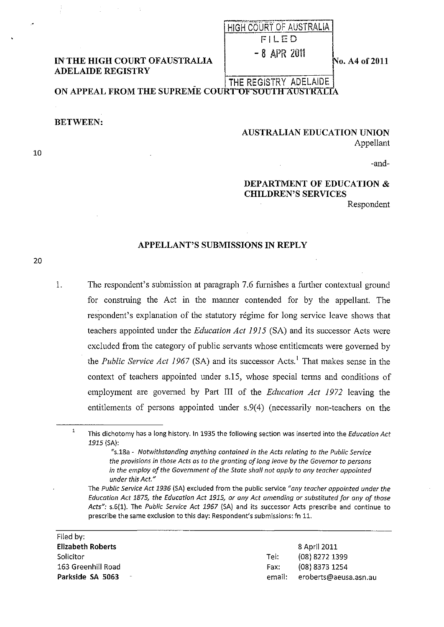## **IN THE HIGH COURT OFAUSTRALIA ADELAIDE REGISTRY**

## HIGH COURT OF AUSTRALIA FILED

 $-8$  APR 2011

No. A4 of 2011

THE REGISTRY ADELAIDE ON APPEAL FROM THE SUPREME COURT OF SOUTH AUSTRALIA

**BETWEEN:** 

**AUSTRALIAN EDUCATION UNION** Appellant

-and-

## **DEPARTMENT OF EDUCATION & CHILDREN'S SERVICES**

Respondent

## APPELLANT'S SUBMISSIONS IN REPLY

20

1.

10

The respondent's submission at paragraph 7.6 furnishes a further contextual ground for construing the Act in the manner contended for by the appellant. The respondent's explanation of the statutory régime for long service leave shows that teachers appointed under the *Education Act 1915* (SA) and its successor Acts were excluded from the category of public servants whose entitlements were governed by the *Public Service Act 1967* (SA) and its successor Acts.<sup>1</sup> That makes sense in the context of teachers appointed under s.15, whose special terms and conditions of employment are governed by Part III of the *Education Act 1972* leaving the entitlements of persons appointed under s.9(4) (necessarily non-teachers on the

 $\overline{1}$ This dichotomy has a long history. In 1935 the following section was inserted into the Education Act 1915 (SA):

> "s.18a - Notwithstanding anything contained in the Acts relating to the Public Service the provisions in those Acts as to the granting of long leave by the Governor to persons in the employ of the Government of the State shall not apply to any teacher appointed under this Act."

The Public Service Act 1936 (SA) excluded from the public service "any teacher appointed under the Education Act 1875, the Education Act 1915, or any Act amending or substituted for any of those Acts": s.6(1). The Public Service Act 1967 (SA) and its successor Acts prescribe and continue to prescribe the same exclusion to this day: Respondent's submissions: fn 11.

| Filed by: I        |      |                              |
|--------------------|------|------------------------------|
| Elizabeth Roberts  |      | 8 April 2011                 |
| Solicitor          | Tel: | (08) 8272 1399               |
| 163 Greenhill Road | Fax: | (08) 8373 1254               |
| Parkside SA 5063   |      | email: eroberts@aeusa.asn.au |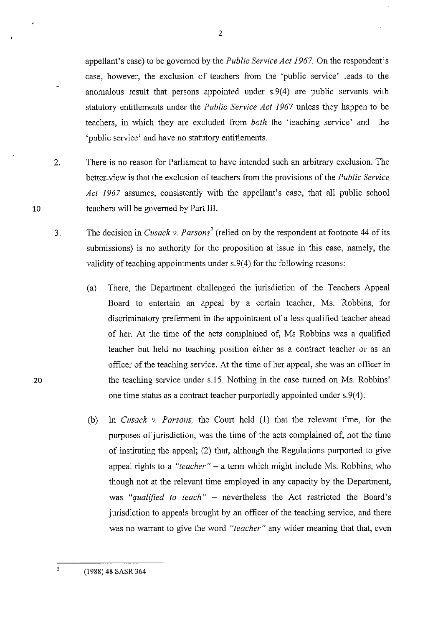appellant's case) to be governed by the *Public Service Act* 1967. On the respondent's case, however, the exclusion of teachers from the 'public service' leads to the anomalous result that persons appointed under s.9(4) are public servants with statutory entitlements under the *Public Service Act* 1967 unless they happen to be teachers, in which they are excluded from *both* the 'teaching service' and the 'public service' and have no statutory entitlements.

- 2. There is no reason for Parliament to have intended such an arbitrary exclusion. The better-view is that the exclusion of teachers from the provisions of the *Public Service Act* 1967 assumes, consistently with the appellant's case, that all public school teachers will be governed by Part Ill.
- 3. The decision in *Cusack v. Parsons*<sup>2</sup> (relied on by the respondent at footnote 44 of its submissions) is no authority for the proposition at issue in this case, namely, the validity of teaching appointments under s.9(4) for the following reasons:
- (a) There, the Department challenged the jurisdiction of the Teachers Appeal Board to entertain an appeal by a certain teacher, Ms. Robbins, for discriminatory preferment in the appointment of a less qualified teacher ahead of her. At the time of the acts complained of, Ms Robbins was a qualified teacher but held no teaching position either as a contract teacher or as an officer of the teaching service. At the time of her appeal, she was an officer in 20 the teaching service under s.15. Nothing in the case turned on Ms. Robbins' one time status as a contract teacher purportedly appointed under s.9(4).
	- (b) In *Cusack* v. *Parsons,* the Court held (1) that the relevant time, for the purposes of jurisdiction, was the time of the acts complained of, not the time of instituting the appeal; (2) that, although the Regulations purported to give appeal rights to a "teacher" - a term which might include Ms. Robbins, who though not at the relevant time employed in any capacity by the Department, was *"qualified to teach"* - nevertheless the Act restricted the Board's jurisdiction to appeals brought by an officer of the teaching service, and there was no warrant to give the word *"teacher"* any wider meaning that that, even

10



 $\overline{2}$ 

<sup>(1988) 48</sup> SASR 364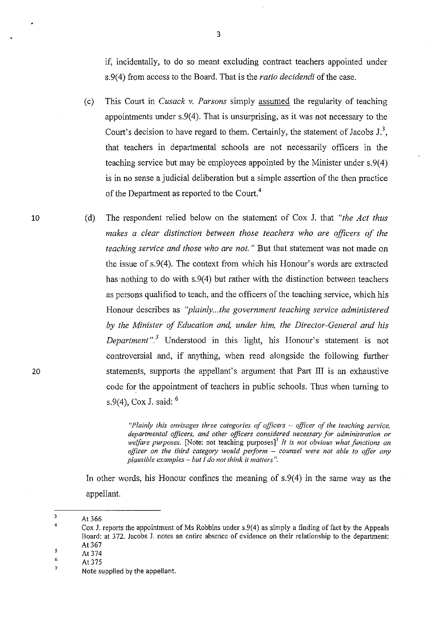if, incidentally, to do so meant excluding contract teachers appointed under s.9( 4) from access to the Board. That is the *ratio decidendi* of the case.

- (c) This Court in *Cusack v. Parsons* simply assumed the regularity of teaching appointments under s.9(4). That is unsurprising, as it was not necessary to the Court's decision to have regard to them. Certainly, the statement of Jacobs  $J^3$ , that teachers in departmental schools are not necessarily officers in the teaching service but may be employees appointed by the Minister under s. 9(4) is in no sense a judicial deliberation but a simple assertion of the then practice of the Department as reported to the Court.<sup>4</sup>
- (d) The respondent relied below on the statement of Cox J. that *"the Act thus makes a clear distinction between those teachers who are officers of the teaching service and those who are not.* " But that statement was not made on the issue of  $s.9(4)$ . The context from which his Honour's words are extracted has nothing to do with  $s.9(4)$  but rather with the distinction between teachers as persons qualified to teach, and the officers of the teaching service, which his Honour describes as *"plainly...the government teaching service administered by the Minister of Education and, under him, the Director-General and his Department* ". 5 Understood in this light, his Honour's statement is not controversial and, if anything, when read alongside the following further statements, supports the appellant's argument that Part III is an exhaustive code for the appointment of teachers in public schools. Thus when turning to s.9(4), Cox J. said: 6

*"Plainly this envisages three categories of officers* - *officer of the teaching service, departmental officers, and other officers considered necessary for administration or welfare purposes.* [Note: not teaching purposes]' *It* is *not obvious what functions an officer on the third category would perform* - *counsel were not able to offer any plausible examples* - *but I do not think it matters".* 

In other words, his Honour confines the meaning of  $s.9(4)$  in the same way as the appellant.

10

20

<sup>3</sup>  At 366

<sup>4</sup>  Cox J. reports the appointment of Ms Robbins under s.9(4) as simply a finding of fact by the Appeals Board: at 372. Jacobs J. notes an entire absence of evidence on their relationship to the department: At 367

<sup>5</sup>  At 374

<sup>6</sup>  At 375

<sup>7</sup>  Note supplied by the appellant.